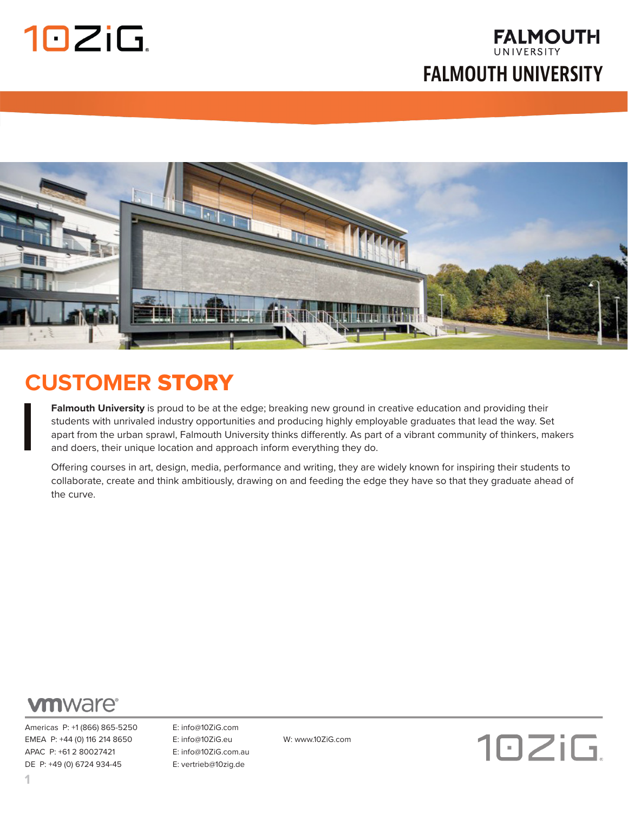UNIVERSITY **FALMOUTH UNIVERSITY**

**FALMOUTH** 



### **CUSTOMER** STORY

**Falmouth University** is proud to be at the edge; breaking new ground in creative education and providing their students with unrivaled industry opportunities and producing highly employable graduates that lead the way. Set apart from the urban sprawl, Falmouth University thinks differently. As part of a vibrant community of thinkers, makers and doers, their unique location and approach inform everything they do.

Offering courses in art, design, media, performance and writing, they are widely known for inspiring their students to collaborate, create and think ambitiously, drawing on and feeding the edge they have so that they graduate ahead of the curve.



Americas P: +1 (866) 865-5250 E: info@10ZiG.com EMEA P: +44 (0) 116 214 8650 E: info@10ZiG.eu W: www.10ZiG.com APAC P: +61 2 80027421 E: info@10ZiG.com.au DE P: +49 (0) 6724 934-45 E: vertrieb@10zig.de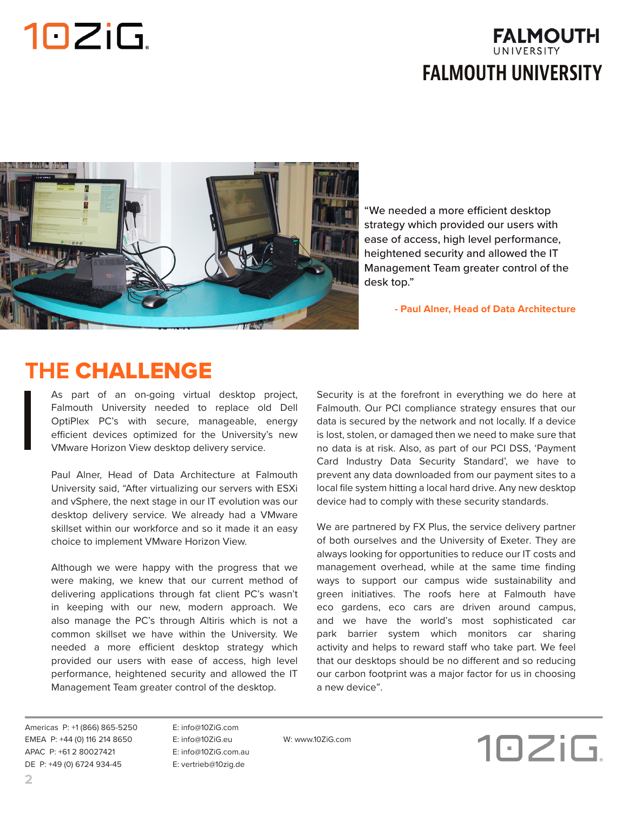#### **FALMOUTH** UNIVERSITY **FALMOUTH UNIVERSITY**



"We needed a more efficient desktop strategy which provided our users with ease of access, high level performance, heightened security and allowed the IT Management Team greater control of the desk top."

 **- Paul Alner, Head of Data Architecture** 

### **THE** CHALLENGE

As part of an on-going virtual desktop project, Falmouth University needed to replace old Dell OptiPlex PC's with secure, manageable, energy efficient devices optimized for the University's new VMware Horizon View desktop delivery service.

Paul Alner, Head of Data Architecture at Falmouth University said, "After virtualizing our servers with ESXi and vSphere, the next stage in our IT evolution was our desktop delivery service. We already had a VMware skillset within our workforce and so it made it an easy choice to implement VMware Horizon View.

Although we were happy with the progress that we were making, we knew that our current method of delivering applications through fat client PC's wasn't in keeping with our new, modern approach. We also manage the PC's through Altiris which is not a common skillset we have within the University. We needed a more efficient desktop strategy which provided our users with ease of access, high level performance, heightened security and allowed the IT Management Team greater control of the desktop.

Security is at the forefront in everything we do here at Falmouth. Our PCI compliance strategy ensures that our data is secured by the network and not locally. If a device is lost, stolen, or damaged then we need to make sure that no data is at risk. Also, as part of our PCI DSS, 'Payment Card Industry Data Security Standard', we have to prevent any data downloaded from our payment sites to a local file system hitting a local hard drive. Any new desktop device had to comply with these security standards.

We are partnered by FX Plus, the service delivery partner of both ourselves and the University of Exeter. They are always looking for opportunities to reduce our IT costs and management overhead, while at the same time finding ways to support our campus wide sustainability and green initiatives. The roofs here at Falmouth have eco gardens, eco cars are driven around campus, and we have the world's most sophisticated car park barrier system which monitors car sharing activity and helps to reward staff who take part. We feel that our desktops should be no different and so reducing our carbon footprint was a major factor for us in choosing a new device".

Americas P: +1 (866) 865-5250 E: info@10ZiG.com EMEA P: +44 (0) 116 214 8650 E: info@10ZiG.eu W: www.10ZiG.com APAC P: +61 2 80027421 E: info@10ZiG.com.au DE P: +49 (0) 6724 934-45 E: vertrieb@10zig.de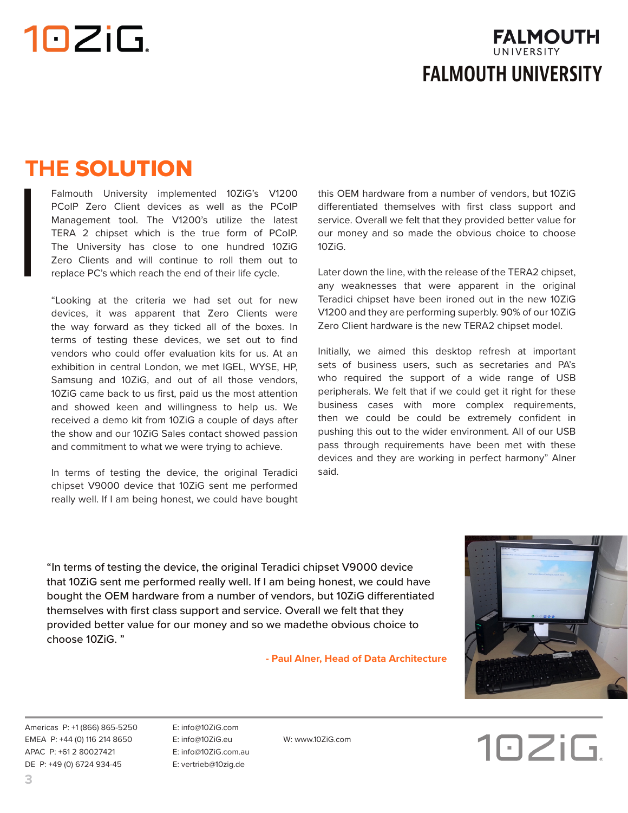

### **THE** SOLUTION

Falmouth University implemented 10ZiG's V1200 PCoIP Zero Client devices as well as the PCoIP Management tool. The V1200's utilize the latest TERA 2 chipset which is the true form of PCoIP. The University has close to one hundred 10ZiG Zero Clients and will continue to roll them out to replace PC's which reach the end of their life cycle.

"Looking at the criteria we had set out for new devices, it was apparent that Zero Clients were the way forward as they ticked all of the boxes. In terms of testing these devices, we set out to find vendors who could offer evaluation kits for us. At an exhibition in central London, we met IGEL, WYSE, HP, Samsung and 10ZiG, and out of all those vendors, 10ZiG came back to us first, paid us the most attention and showed keen and willingness to help us. We received a demo kit from 10ZiG a couple of days after the show and our 10ZiG Sales contact showed passion and commitment to what we were trying to achieve.

In terms of testing the device, the original Teradici chipset V9000 device that 10ZiG sent me performed really well. If I am being honest, we could have bought

this OEM hardware from a number of vendors, but 10ZiG differentiated themselves with first class support and service. Overall we felt that they provided better value for our money and so made the obvious choice to choose 10ZiG.

Later down the line, with the release of the TERA2 chipset, any weaknesses that were apparent in the original Teradici chipset have been ironed out in the new 10ZiG V1200 and they are performing superbly. 90% of our 10ZiG Zero Client hardware is the new TERA2 chipset model.

Initially, we aimed this desktop refresh at important sets of business users, such as secretaries and PA's who required the support of a wide range of USB peripherals. We felt that if we could get it right for these business cases with more complex requirements, then we could be could be extremely confident in pushing this out to the wider environment. All of our USB pass through requirements have been met with these devices and they are working in perfect harmony" Alner said.

"In terms of testing the device, the original Teradici chipset V9000 device that 10ZiG sent me performed really well. If I am being honest, we could have bought the OEM hardware from a number of vendors, but 10ZiG differentiated themselves with first class support and service. Overall we felt that they provided better value for our money and so we madethe obvious choice to choose 10ZiG. "

 **- Paul Alner, Head of Data Architecture** 



Americas P: +1 (866) 865-5250 E: info@10ZiG.com EMEA P: +44 (0) 116 214 8650 E: info@10ZiG.eu W: www.10ZiG.com APAC P: +61 2 80027421 E: info@10ZiG.com.au DE P: +49 (0) 6724 934-45 E: vertrieb@10zig.de